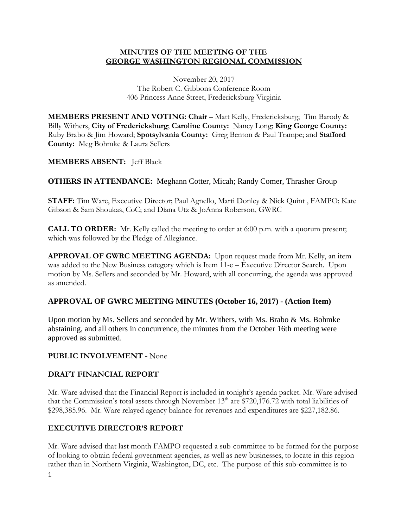#### **MINUTES OF THE MEETING OF THE GEORGE WASHINGTON REGIONAL COMMISSION**

November 20, 2017 The Robert C. Gibbons Conference Room 406 Princess Anne Street, Fredericksburg Virginia

**MEMBERS PRESENT AND VOTING: Chair – Matt Kelly, Fredericksburg; Tim Barody &** Billy Withers, **City of Fredericksburg**; **Caroline County:** Nancy Long; **King George County:**  Ruby Brabo & Jim Howard; **Spotsylvania County:** Greg Benton & Paul Trampe; and **Stafford County:** Meg Bohmke & Laura Sellers

# **MEMBERS ABSENT:** Jeff Black

**OTHERS IN ATTENDANCE:** Meghann Cotter, Micah; Randy Comer, Thrasher Group

**STAFF:** Tim Ware, Executive Director; Paul Agnello, Marti Donley & Nick Quint , FAMPO; Kate Gibson & Sam Shoukas, CoC; and Diana Utz & JoAnna Roberson, GWRC

**CALL TO ORDER:** Mr. Kelly called the meeting to order at 6:00 p.m. with a quorum present; which was followed by the Pledge of Allegiance.

**APPROVAL OF GWRC MEETING AGENDA:** Upon request made from Mr. Kelly, an item was added to the New Business category which is Item 11-e – Executive Director Search. Upon motion by Ms. Sellers and seconded by Mr. Howard, with all concurring, the agenda was approved as amended.

# **APPROVAL OF GWRC MEETING MINUTES (October 16, 2017) - (Action Item)**

Upon motion by Ms. Sellers and seconded by Mr. Withers, with Ms. Brabo & Ms. Bohmke abstaining, and all others in concurrence, the minutes from the October 16th meeting were approved as submitted.

#### **PUBLIC INVOLVEMENT -** None

# **DRAFT FINANCIAL REPORT**

Mr. Ware advised that the Financial Report is included in tonight's agenda packet. Mr. Ware advised that the Commission's total assets through November  $13<sup>th</sup>$  are \$720,176.72 with total liabilities of \$298,385.96. Mr. Ware relayed agency balance for revenues and expenditures are \$227,182.86.

# **EXECUTIVE DIRECTOR'S REPORT**

Mr. Ware advised that last month FAMPO requested a sub-committee to be formed for the purpose of looking to obtain federal government agencies, as well as new businesses, to locate in this region rather than in Northern Virginia, Washington, DC, etc. The purpose of this sub-committee is to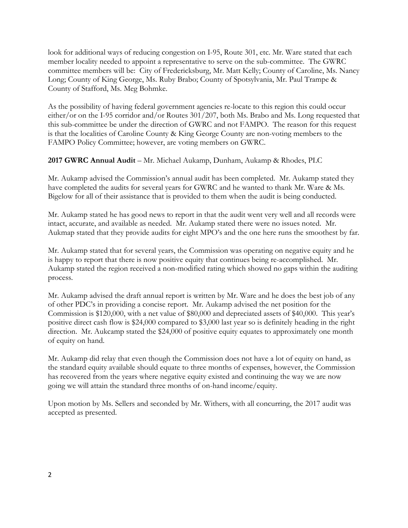look for additional ways of reducing congestion on I-95, Route 301, etc. Mr. Ware stated that each member locality needed to appoint a representative to serve on the sub-committee. The GWRC committee members will be: City of Fredericksburg, Mr. Matt Kelly; County of Caroline, Ms. Nancy Long; County of King George, Ms. Ruby Brabo; County of Spotsylvania, Mr. Paul Trampe & County of Stafford, Ms. Meg Bohmke.

As the possibility of having federal government agencies re-locate to this region this could occur either/or on the I-95 corridor and/or Routes 301/207, both Ms. Brabo and Ms. Long requested that this sub-committee be under the direction of GWRC and not FAMPO. The reason for this request is that the localities of Caroline County & King George County are non-voting members to the FAMPO Policy Committee; however, are voting members on GWRC.

**2017 GWRC Annual Audit** – Mr. Michael Aukamp, Dunham, Aukamp & Rhodes, PLC

Mr. Aukamp advised the Commission's annual audit has been completed. Mr. Aukamp stated they have completed the audits for several years for GWRC and he wanted to thank Mr. Ware & Ms. Bigelow for all of their assistance that is provided to them when the audit is being conducted.

Mr. Aukamp stated he has good news to report in that the audit went very well and all records were intact, accurate, and available as needed. Mr. Aukamp stated there were no issues noted. Mr. Aukmap stated that they provide audits for eight MPO's and the one here runs the smoothest by far.

Mr. Aukamp stated that for several years, the Commission was operating on negative equity and he is happy to report that there is now positive equity that continues being re-accomplished. Mr. Aukamp stated the region received a non-modified rating which showed no gaps within the auditing process.

Mr. Aukamp advised the draft annual report is written by Mr. Ware and he does the best job of any of other PDC's in providing a concise report. Mr. Aukamp advised the net position for the Commission is \$120,000, with a net value of \$80,000 and depreciated assets of \$40,000. This year's positive direct cash flow is \$24,000 compared to \$3,000 last year so is definitely heading in the right direction. Mr. Aukcamp stated the \$24,000 of positive equity equates to approximately one month of equity on hand.

Mr. Aukamp did relay that even though the Commission does not have a lot of equity on hand, as the standard equity available should equate to three months of expenses, however, the Commission has recovered from the years where negative equity existed and continuing the way we are now going we will attain the standard three months of on-hand income/equity.

Upon motion by Ms. Sellers and seconded by Mr. Withers, with all concurring, the 2017 audit was accepted as presented.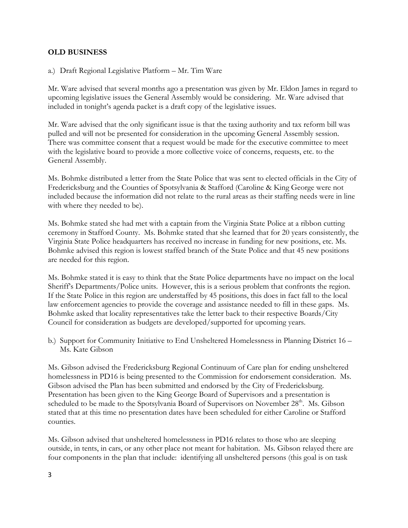#### **OLD BUSINESS**

a.) Draft Regional Legislative Platform – Mr. Tim Ware

Mr. Ware advised that several months ago a presentation was given by Mr. Eldon James in regard to upcoming legislative issues the General Assembly would be considering. Mr. Ware advised that included in tonight's agenda packet is a draft copy of the legislative issues.

Mr. Ware advised that the only significant issue is that the taxing authority and tax reform bill was pulled and will not be presented for consideration in the upcoming General Assembly session. There was committee consent that a request would be made for the executive committee to meet with the legislative board to provide a more collective voice of concerns, requests, etc. to the General Assembly.

Ms. Bohmke distributed a letter from the State Police that was sent to elected officials in the City of Fredericksburg and the Counties of Spotsylvania & Stafford (Caroline & King George were not included because the information did not relate to the rural areas as their staffing needs were in line with where they needed to be).

Ms. Bohmke stated she had met with a captain from the Virginia State Police at a ribbon cutting ceremony in Stafford County. Ms. Bohmke stated that she learned that for 20 years consistently, the Virginia State Police headquarters has received no increase in funding for new positions, etc. Ms. Bohmke advised this region is lowest staffed branch of the State Police and that 45 new positions are needed for this region.

Ms. Bohmke stated it is easy to think that the State Police departments have no impact on the local Sheriff's Departments/Police units. However, this is a serious problem that confronts the region. If the State Police in this region are understaffed by 45 positions, this does in fact fall to the local law enforcement agencies to provide the coverage and assistance needed to fill in these gaps. Ms. Bohmke asked that locality representatives take the letter back to their respective Boards/City Council for consideration as budgets are developed/supported for upcoming years.

b.) Support for Community Initiative to End Unsheltered Homelessness in Planning District 16 – Ms. Kate Gibson

Ms. Gibson advised the Fredericksburg Regional Continuum of Care plan for ending unsheltered homelessness in PD16 is being presented to the Commission for endorsement consideration. Ms. Gibson advised the Plan has been submitted and endorsed by the City of Fredericksburg. Presentation has been given to the King George Board of Supervisors and a presentation is scheduled to be made to the Spotsylvania Board of Supervisors on November 28<sup>th</sup>. Ms. Gibson stated that at this time no presentation dates have been scheduled for either Caroline or Stafford counties.

Ms. Gibson advised that unsheltered homelessness in PD16 relates to those who are sleeping outside, in tents, in cars, or any other place not meant for habitation. Ms. Gibson relayed there are four components in the plan that include: identifying all unsheltered persons (this goal is on task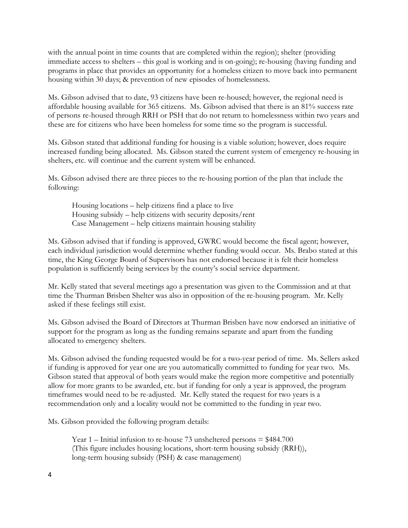with the annual point in time counts that are completed within the region); shelter (providing immediate access to shelters – this goal is working and is on-going); re-housing (having funding and programs in place that provides an opportunity for a homeless citizen to move back into permanent housing within 30 days; & prevention of new episodes of homelessness.

Ms. Gibson advised that to date, 93 citizens have been re-housed; however, the regional need is affordable housing available for 365 citizens. Ms. Gibson advised that there is an 81% success rate of persons re-housed through RRH or PSH that do not return to homelessness within two years and these are for citizens who have been homeless for some time so the program is successful.

Ms. Gibson stated that additional funding for housing is a viable solution; however, does require increased funding being allocated. Ms. Gibson stated the current system of emergency re-housing in shelters, etc. will continue and the current system will be enhanced.

Ms. Gibson advised there are three pieces to the re-housing portion of the plan that include the following:

Housing locations – help citizens find a place to live Housing subsidy – help citizens with security deposits/rent Case Management – help citizens maintain housing stability

Ms. Gibson advised that if funding is approved, GWRC would become the fiscal agent; however, each individual jurisdiction would determine whether funding would occur. Ms. Brabo stated at this time, the King George Board of Supervisors has not endorsed because it is felt their homeless population is sufficiently being services by the county's social service department.

Mr. Kelly stated that several meetings ago a presentation was given to the Commission and at that time the Thurman Brisben Shelter was also in opposition of the re-housing program. Mr. Kelly asked if these feelings still exist.

Ms. Gibson advised the Board of Directors at Thurman Brisben have now endorsed an initiative of support for the program as long as the funding remains separate and apart from the funding allocated to emergency shelters.

Ms. Gibson advised the funding requested would be for a two-year period of time. Ms. Sellers asked if funding is approved for year one are you automatically committed to funding for year two. Ms. Gibson stated that approval of both years would make the region more competitive and potentially allow for more grants to be awarded, etc. but if funding for only a year is approved, the program timeframes would need to be re-adjusted. Mr. Kelly stated the request for two years is a recommendation only and a locality would not be committed to the funding in year two.

Ms. Gibson provided the following program details:

Year  $1$  – Initial infusion to re-house 73 unsheltered persons  $= $484.700$ (This figure includes housing locations, short-term housing subsidy (RRH)), long-term housing subsidy (PSH) & case management)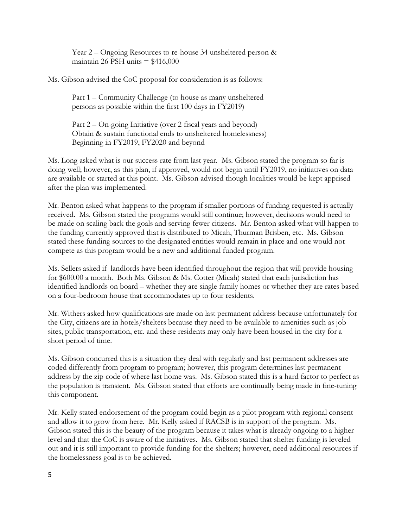Year 2 – Ongoing Resources to re-house 34 unsheltered person & maintain 26 PSH units  $= $416,000$ 

Ms. Gibson advised the CoC proposal for consideration is as follows:

Part 1 – Community Challenge (to house as many unsheltered persons as possible within the first 100 days in FY2019)

Part 2 – On-going Initiative (over 2 fiscal years and beyond) Obtain & sustain functional ends to unsheltered homelessness) Beginning in FY2019, FY2020 and beyond

Ms. Long asked what is our success rate from last year. Ms. Gibson stated the program so far is doing well; however, as this plan, if approved, would not begin until FY2019, no initiatives on data are available or started at this point. Ms. Gibson advised though localities would be kept apprised after the plan was implemented.

Mr. Benton asked what happens to the program if smaller portions of funding requested is actually received. Ms. Gibson stated the programs would still continue; however, decisions would need to be made on scaling back the goals and serving fewer citizens. Mr. Benton asked what will happen to the funding currently approved that is distributed to Micah, Thurman Brisben, etc. Ms. Gibson stated these funding sources to the designated entities would remain in place and one would not compete as this program would be a new and additional funded program.

Ms. Sellers asked if landlords have been identified throughout the region that will provide housing for \$600.00 a month. Both Ms. Gibson & Ms. Cotter (Micah) stated that each jurisdiction has identified landlords on board – whether they are single family homes or whether they are rates based on a four-bedroom house that accommodates up to four residents.

Mr. Withers asked how qualifications are made on last permanent address because unfortunately for the City, citizens are in hotels/shelters because they need to be available to amenities such as job sites, public transportation, etc. and these residents may only have been housed in the city for a short period of time.

Ms. Gibson concurred this is a situation they deal with regularly and last permanent addresses are coded differently from program to program; however, this program determines last permanent address by the zip code of where last home was. Ms. Gibson stated this is a hard factor to perfect as the population is transient. Ms. Gibson stated that efforts are continually being made in fine-tuning this component.

Mr. Kelly stated endorsement of the program could begin as a pilot program with regional consent and allow it to grow from here. Mr. Kelly asked if RACSB is in support of the program. Ms. Gibson stated this is the beauty of the program because it takes what is already ongoing to a higher level and that the CoC is aware of the initiatives. Ms. Gibson stated that shelter funding is leveled out and it is still important to provide funding for the shelters; however, need additional resources if the homelessness goal is to be achieved.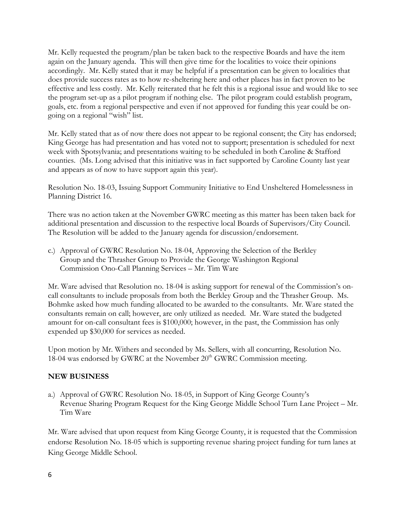Mr. Kelly requested the program/plan be taken back to the respective Boards and have the item again on the January agenda. This will then give time for the localities to voice their opinions accordingly. Mr. Kelly stated that it may be helpful if a presentation can be given to localities that does provide success rates as to how re-sheltering here and other places has in fact proven to be effective and less costly. Mr. Kelly reiterated that he felt this is a regional issue and would like to see the program set-up as a pilot program if nothing else. The pilot program could establish program, goals, etc. from a regional perspective and even if not approved for funding this year could be ongoing on a regional "wish" list.

Mr. Kelly stated that as of now there does not appear to be regional consent; the City has endorsed; King George has had presentation and has voted not to support; presentation is scheduled for next week with Spotsylvania; and presentations waiting to be scheduled in both Caroline & Stafford counties. (Ms. Long advised that this initiative was in fact supported by Caroline County last year and appears as of now to have support again this year).

Resolution No. 18-03, Issuing Support Community Initiative to End Unsheltered Homelessness in Planning District 16.

There was no action taken at the November GWRC meeting as this matter has been taken back for additional presentation and discussion to the respective local Boards of Supervisors/City Council. The Resolution will be added to the January agenda for discussion/endorsement.

c.) Approval of GWRC Resolution No. 18-04, Approving the Selection of the Berkley Group and the Thrasher Group to Provide the George Washington Regional Commission Ono-Call Planning Services – Mr. Tim Ware

Mr. Ware advised that Resolution no. 18-04 is asking support for renewal of the Commission's oncall consultants to include proposals from both the Berkley Group and the Thrasher Group. Ms. Bohmke asked how much funding allocated to be awarded to the consultants. Mr. Ware stated the consultants remain on call; however, are only utilized as needed. Mr. Ware stated the budgeted amount for on-call consultant fees is \$100,000; however, in the past, the Commission has only expended up \$30,000 for services as needed.

Upon motion by Mr. Withers and seconded by Ms. Sellers, with all concurring, Resolution No. 18-04 was endorsed by GWRC at the November 20<sup>th</sup> GWRC Commission meeting.

#### **NEW BUSINESS**

a.) Approval of GWRC Resolution No. 18-05, in Support of King George County's Revenue Sharing Program Request for the King George Middle School Turn Lane Project – Mr. Tim Ware

Mr. Ware advised that upon request from King George County, it is requested that the Commission endorse Resolution No. 18-05 which is supporting revenue sharing project funding for turn lanes at King George Middle School.